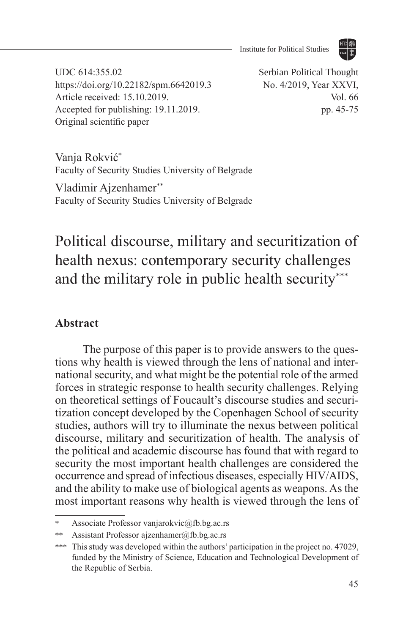

UDC 614:355.02 https://doi.org/10.22182/spm.6642019.3 Article received: 15.10.2019. Accepted for publishing: 19.11.2019. Original scientific paper

Serbian Political Thought No. 4/2019, Year XXVI, Vol. 66 pp. 45-75

Vanja Rokvić\* Faculty of Security Studies University of Belgrade

Vladimir Ajzenhamer\*\* Faculty of Security Studies University of Belgrade

# Political discourse, military and securitization of health nexus: contemporary security challenges and the military role in public health security\*\*\*

### **Abstract**

The purpose of this paper is to provide answers to the questions why health is viewed through the lens of national and international security, and what might be the potential role of the armed forces in strategic response to health security challenges. Relying on theoretical settings of Foucault's discourse studies and securitization concept developed by the Copenhagen School of security studies, authors will try to illuminate the nexus between political discourse, military and securitization of health. The analysis of the political and academic discourse has found that with regard to security the most important health challenges are considered the occurrence and spread of infectious diseases, especially HIV/AIDS, and the ability to make use of biological agents as weapons. As the most important reasons why health is viewed through the lens of

Associate Professor vanjarokvic@fb.bg.ac.rs

<sup>\*\*</sup> Assistant Professor ajzenhamer@fb.bg.ac.rs

<sup>\*\*\*</sup> This study was developed within the authors' participation in the project no. 47029, funded by the Ministry of Science, Education and Technological Development of the Republic of Serbia.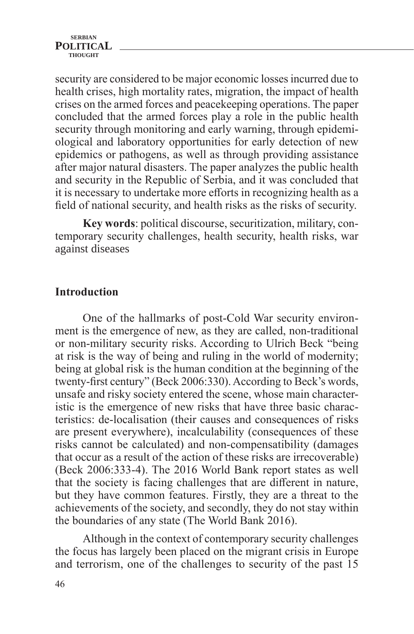security are considered to be major economic losses incurred due to health crises, high mortality rates, migration, the impact of health crises on the armed forces and peacekeeping operations. The paper concluded that the armed forces play a role in the public health security through monitoring and early warning, through epidemiological and laboratory opportunities for early detection of new epidemics or pathogens, as well as through providing assistance after major natural disasters. The paper analyzes the public health and security in the Republic of Serbia, and it was concluded that it is necessary to undertake more efforts in recognizing health as a field of national security, and health risks as the risks of security.

**Key words**: political discourse, securitization, military, contemporary security challenges, health security, health risks, war against diseases

### **Introduction**

One of the hallmarks of post-Cold War security environment is the emergence of new, as they are called, non-traditional or non-military security risks. According to Ulrich Beck "being at risk is the way of being and ruling in the world of modernity; being at global risk is the human condition at the beginning of the twenty-first century" (Beck 2006:330). According to Beck's words, unsafe and risky society entered the scene, whose main characteristic is the emergence of new risks that have three basic characteristics: de-localisation (their causes and consequences of risks are present everywhere), incalculability (consequences of these risks cannot be calculated) and non-compensatibility (damages that occur as a result of the action of these risks are irrecoverable) (Beck 2006:333-4). The 2016 World Bank report states as well that the society is facing challenges that are different in nature, but they have common features. Firstly, they are a threat to the achievements of the society, and secondly, they do not stay within the boundaries of any state (The World Bank 2016).

Although in the context of contemporary security challenges the focus has largely been placed on the migrant crisis in Europe and terrorism, one of the challenges to security of the past 15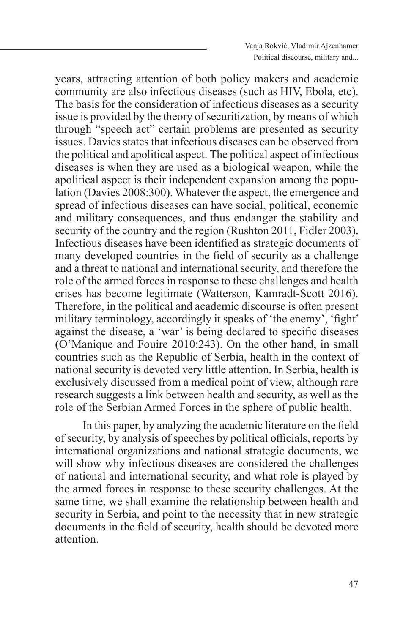years, attracting attention of both policy makers and academic community are also infectious diseases (such as HIV, Ebola, etc). The basis for the consideration of infectious diseases as a security issue is provided by the theory of securitization, by means of which through "speech act" certain problems are presented as security issues. Davies states that infectious diseases can be observed from the political and apolitical aspect. The political aspect of infectious diseases is when they are used as a biological weapon, while the apolitical aspect is their independent expansion among the population (Davies 2008:300). Whatever the aspect, the emergence and spread of infectious diseases can have social, political, economic and military consequences, and thus endanger the stability and security of the country and the region (Rushton 2011, Fidler 2003). Infectious diseases have been identified as strategic documents of many developed countries in the field of security as a challenge and a threat to national and international security, and therefore the role of the armed forces in response to these challenges and health crises has become legitimate (Watterson, Kamradt-Scott 2016). Therefore, in the political and academic discourse is often present military terminology, accordingly it speaks of 'the enemy', 'fight' against the disease, a 'war' is being declared to specific diseases (O'Manique and Fouire 2010:243). On the other hand, in small countries such as the Republic of Serbia, health in the context of national security is devoted very little attention. In Serbia, health is exclusively discussed from a medical point of view, although rare research suggests a link between health and security, as well as the role of the Serbian Armed Forces in the sphere of public health.

In this paper, by analyzing the academic literature on the field of security, by analysis of speeches by political officials, reports by international organizations and national strategic documents, we will show why infectious diseases are considered the challenges of national and international security, and what role is played by the armed forces in response to these security challenges. At the same time, we shall examine the relationship between health and security in Serbia, and point to the necessity that in new strategic documents in the field of security, health should be devoted more attention.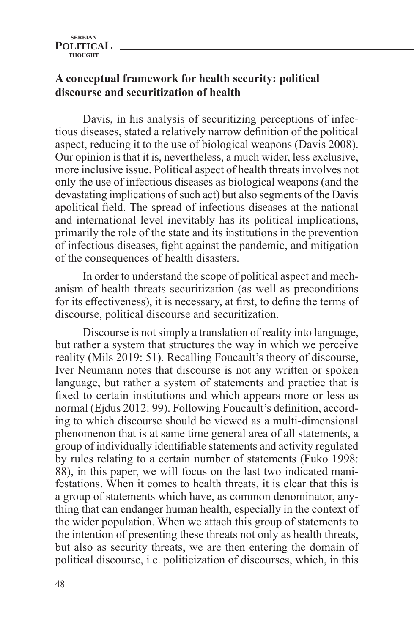# **A conceptual framework for health security: political discourse and securitization of health**

Davis, in his analysis of securitizing perceptions of infectious diseases, stated a relatively narrow definition of the political aspect, reducing it to the use of biological weapons (Davis 2008). Our opinion is that it is, nevertheless, a much wider, less exclusive, more inclusive issue. Political aspect of health threats involves not only the use of infectious diseases as biological weapons (and the devastating implications of such act) but also segments of the Davis apolitical field. The spread of infectious diseases at the national and international level inevitably has its political implications, primarily the role of the state and its institutions in the prevention of infectious diseases, fight against the pandemic, and mitigation of the consequences of health disasters.

In order to understand the scope of political aspect and mechanism of health threats securitization (as well as preconditions for its effectiveness), it is necessary, at first, to define the terms of discourse, political discourse and securitization.

Discourse is not simply a translation of reality into language, but rather a system that structures the way in which we perceive reality (Mils 2019: 51). Recalling Foucault's theory of discourse, Iver Neumann notes that discourse is not any written or spoken language, but rather a system of statements and practice that is fixed to certain institutions and which appears more or less as normal (Ejdus 2012: 99). Following Foucault's definition, according to which discourse should be viewed as a multi-dimensional phenomenon that is at same time general area of all statements, a group of individually identifiable statements and activity regulated by rules relating to a certain number of statements (Fuko 1998: 88), in this paper, we will focus on the last two indicated manifestations. When it comes to health threats, it is clear that this is a group of statements which have, as common denominator, anything that can endanger human health, especially in the context of the wider population. When we attach this group of statements to the intention of presenting these threats not only as health threats, but also as security threats, we are then entering the domain of political discourse, i.e. politicization of discourses, which, in this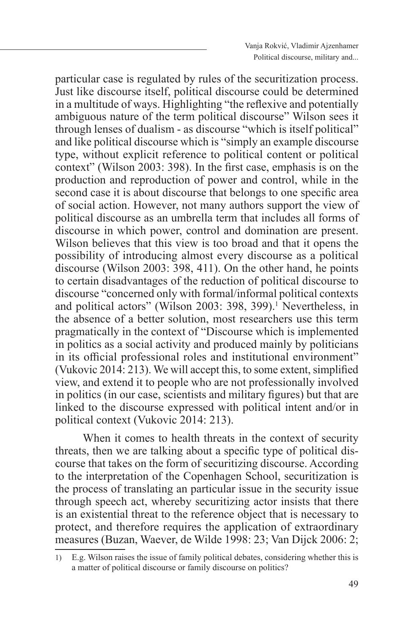particular case is regulated by rules of the securitization process. Just like discourse itself, political discourse could be determined in a multitude of ways. Highlighting "the reflexive and potentially ambiguous nature of the term political discourse" Wilson sees it through lenses of dualism - as discourse "which is itself political" and like political discourse which is "simply an example discourse type, without explicit reference to political content or political context" (Wilson 2003: 398). In the first case, emphasis is on the production and reproduction of power and control, while in the second case it is about discourse that belongs to one specific area of social action. However, not many authors support the view of political discourse as an umbrella term that includes all forms of discourse in which power, control and domination are present. Wilson believes that this view is too broad and that it opens the possibility of introducing almost every discourse as a political discourse (Wilson 2003: 398, 411). On the other hand, he points to certain disadvantages of the reduction of political discourse to discourse "concerned only with formal/informal political contexts and political actors" (Wilson 2003: 398, 399).<sup>1</sup> Nevertheless, in the absence of a better solution, most researchers use this term pragmatically in the context of "Discourse which is implemented in politics as a social activity and produced mainly by politicians in its official professional roles and institutional environment" (Vukovic 2014: 213). We will accept this, to some extent, simplified view, and extend it to people who are not professionally involved in politics (in our case, scientists and military figures) but that are linked to the discourse expressed with political intent and/or in political context (Vukovic 2014: 213).

When it comes to health threats in the context of security threats, then we are talking about a specific type of political discourse that takes on the form of securitizing discourse. According to the interpretation of the Copenhagen School, securitization is the process of translating an particular issue in the security issue through speech act, whereby securitizing actor insists that there is an existential threat to the reference object that is necessary to protect, and therefore requires the application of extraordinary measures (Buzan, Waever, de Wilde 1998: 23; Van Dijck 2006: 2;

<sup>1)</sup> E.g. Wilson raises the issue of family political debates, considering whether this is a matter of political discourse or family discourse on politics?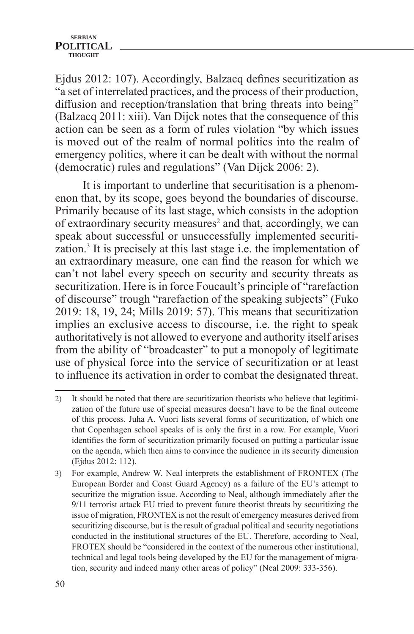Ejdus 2012: 107). Accordingly, Balzacq defines securitization as "a set of interrelated practices, and the process of their production, diffusion and reception/translation that bring threats into being" (Balzacq 2011: xiii). Van Dijck notes that the consequence of this action can be seen as a form of rules violation "by which issues is moved out of the realm of normal politics into the realm of emergency politics, where it can be dealt with without the normal (democratic) rules and regulations" (Van Dijck 2006: 2).

It is important to underline that securitisation is a phenomenon that, by its scope, goes beyond the boundaries of discourse. Primarily because of its last stage, which consists in the adoption of extraordinary security measures<sup>2</sup> and that, accordingly, we can speak about successful or unsuccessfully implemented securitization.<sup>3</sup> It is precisely at this last stage i.e. the implementation of an extraordinary measure, one can find the reason for which we can't not label every speech on security and security threats as securitization. Here is in force Foucault's principle of "rarefaction of discourse" trough "rarefaction of the speaking subjects" (Fuko 2019: 18, 19, 24; Mills 2019: 57). This means that securitization implies an exclusive access to discourse, i.e. the right to speak authoritatively is not allowed to everyone and authority itself arises from the ability of "broadcaster" to put a monopoly of legitimate use of physical force into the service of securitization or at least to influence its activation in order to combat the designated threat.

<sup>2)</sup> It should be noted that there are securitization theorists who believe that legitimization of the future use of special measures doesn't have to be the final outcome of this process. Juha A. Vuori lists several forms of securitization, of which one that Copenhagen school speaks of is only the first in a row. For example, Vuori identifies the form of securitization primarily focused on putting a particular issue on the agenda, which then aims to convince the audience in its security dimension (Ejdus 2012: 112).

<sup>3)</sup> For example, Andrew W. Neal interprets the establishment of FRONTEX (The European Border and Coast Guard Agency) as a failure of the EU's attempt to securitize the migration issue. According to Neal, although immediately after the 9/11 terrorist attack EU tried to prevent future theorist threats by securitizing the issue of migration, FRONTEX is not the result of emergency measures derived from securitizing discourse, but is the result of gradual political and security negotiations conducted in the institutional structures of the EU. Therefore, according to Neal, FROTEX should be "considered in the context of the numerous other institutional, technical and legal tools being developed by the EU for the management of migration, security and indeed many other areas of policy" (Neal 2009: 333-356).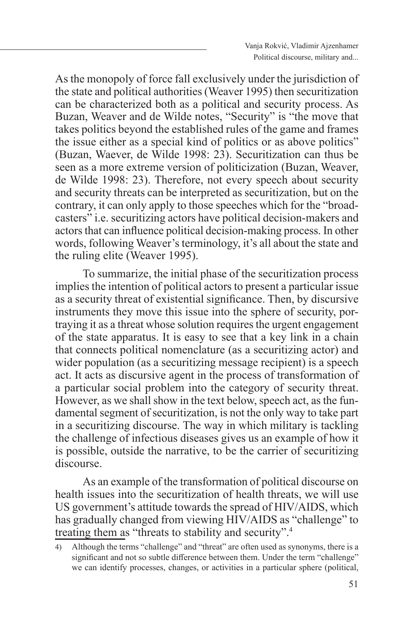As the monopoly of force fall exclusively under the jurisdiction of the state and political authorities (Weaver 1995) then securitization can be characterized both as a political and security process. As Buzan, Weaver and de Wilde notes, "Security" is "the move that takes politics beyond the established rules of the game and frames the issue either as a special kind of politics or as above politics" (Buzan, Waever, de Wilde 1998: 23). Securitization can thus be seen as a more extreme version of politicization (Buzan, Weaver, de Wilde 1998: 23). Therefore, not every speech about security and security threats can be interpreted as securitization, but on the contrary, it can only apply to those speeches which for the "broadcasters" i.e. securitizing actors have political decision-makers and actors that can influence political decision-making process. In other words, following Weaver's terminology, it's all about the state and the ruling elite (Weaver 1995).

To summarize, the initial phase of the securitization process implies the intention of political actors to present a particular issue as a security threat of existential significance. Then, by discursive instruments they move this issue into the sphere of security, portraying it as a threat whose solution requires the urgent engagement of the state apparatus. It is easy to see that a key link in a chain that connects political nomenclature (as a securitizing actor) and wider population (as a securitizing message recipient) is a speech act. It acts as discursive agent in the process of transformation of a particular social problem into the category of security threat. However, as we shall show in the text below, speech act, as the fundamental segment of securitization, is not the only way to take part in a securitizing discourse. The way in which military is tackling the challenge of infectious diseases gives us an example of how it is possible, outside the narrative, to be the carrier of securitizing discourse.

As an example of the transformation of political discourse on health issues into the securitization of health threats, we will use US government's attitude towards the spread of HIV/AIDS, which has gradually changed from viewing HIV/AIDS as "challenge" to treating them as "threats to stability and security".4

<sup>4)</sup> Although the terms "challenge" and "threat" are often used as synonyms, there is a significant and not so subtle difference between them. Under the term "challenge" we can identify processes, changes, or activities in a particular sphere (political,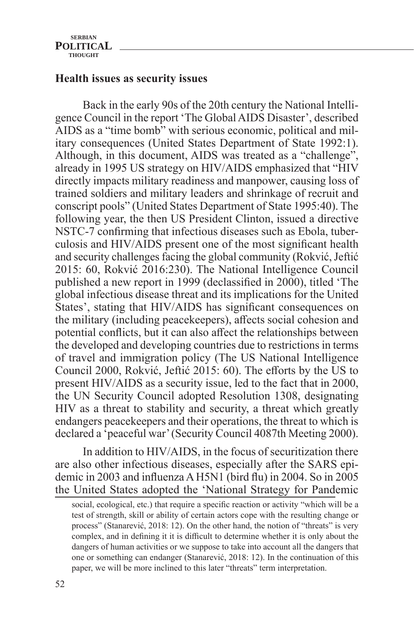# **Health issues as security issues**

Back in the early 90s of the 20th century the National Intelligence Council in the report 'The Global AIDS Disaster', described AIDS as a "time bomb" with serious economic, political and military consequences (United States Department of State 1992:1). Although, in this document, AIDS was treated as a "challenge", already in 1995 US strategy on HIV/AIDS emphasized that "HIV directly impacts military readiness and manpower, causing loss of trained soldiers and military leaders and shrinkage of recruit and conscript pools" (United States Department of State 1995:40). The following year, the then US President Clinton, issued a directive NSTC-7 confirming that infectious diseases such as Ebola, tuberculosis and HIV/AIDS present one of the most significant health and security challenges facing the global community (Rokvić, Jeftić 2015: 60, Rokvić 2016:230). The National Intelligence Council published a new report in 1999 (declassified in 2000), titled 'The global infectious disease threat and its implications for the United States', stating that HIV/AIDS has significant consequences on the military (including peacekeepers), affects social cohesion and potential conflicts, but it can also affect the relationships between the developed and developing countries due to restrictions in terms of travel and immigration policy (The US National Intelligence Council 2000, Rokvić, Jeftić 2015: 60). The efforts by the US to present HIV/AIDS as a security issue, led to the fact that in 2000, the UN Security Council adopted Resolution 1308, designating HIV as a threat to stability and security, a threat which greatly endangers peacekeepers and their operations, the threat to which is declared a 'peaceful war' (Security Council 4087th Meeting 2000).

In addition to HIV/AIDS, in the focus of securitization there are also other infectious diseases, especially after the SARS epidemic in 2003 and influenza A H5N1 (bird flu) in 2004. So in 2005 the United States adopted the 'National Strategy for Pandemic

social, ecological, etc.) that require a specific reaction or activity "which will be a test of strength, skill or ability of certain actors cope with the resulting change or process" (Stanarević, 2018: 12). On the other hand, the notion of "threats" is very complex, and in defining it it is difficult to determine whether it is only about the dangers of human activities or we suppose to take into account all the dangers that one or something can endanger (Stanarević, 2018: 12). In the continuation of this paper, we will be more inclined to this later "threats" term interpretation.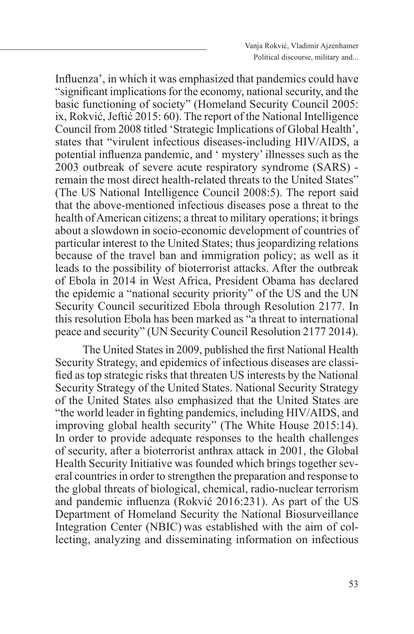Influenza', in which it was emphasized that pandemics could have "significant implications for the economy, national security, and the basic functioning of society" (Homeland Security Council 2005: ix, Rokvić, Jeftić 2015: 60). The report of the National Intelligence Council from 2008 titled 'Strategic Implications of Global Health', states that "virulent infectious diseases-including HIV/AIDS, a potential influenza pandemic, and ' mystery' illnesses such as the 2003 outbreak of severe acute respiratory syndrome (SARS) remain the most direct health-related threats to the United States" (The US National Intelligence Council 2008:5). The report said that the above-mentioned infectious diseases pose a threat to the health of American citizens; a threat to military operations; it brings about a slowdown in socio-economic development of countries of particular interest to the United States; thus jeopardizing relations because of the travel ban and immigration policy; as well as it leads to the possibility of bioterrorist attacks. After the outbreak of Ebola in 2014 in West Africa, President Obama has declared the epidemic a "national security priority" of the US and the UN Security Council securitized Ebola through Resolution 2177. In this resolution Ebola has been marked as "a threat to international peace and security" (UN Security Council Resolution 2177 2014).

The United States in 2009, published the first National Health Security Strategy, and epidemics of infectious diseases are classified as top strategic risks that threaten US interests by the National Security Strategy of the United States. National Security Strategy of the United States also emphasized that the United States are "the world leader in fighting pandemics, including HIV/AIDS, and improving global health security" (The White House 2015:14). In order to provide adequate responses to the health challenges of security, after a bioterrorist anthrax attack in 2001, the Global Health Security Initiative was founded which brings together several countries in order to strengthen the preparation and response to the global threats of biological, chemical, radio-nuclear terrorism and pandemic influenza (Rokvić 2016:231). As part of the US Department of Homeland Security the National Biosurveillance Integration Center (NBIC) was established with the aim of collecting, analyzing and disseminating information on infectious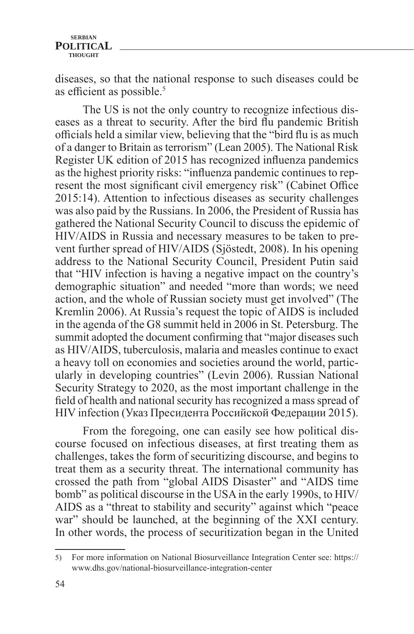diseases, so that the national response to such diseases could be as efficient as possible.<sup>5</sup>

The US is not the only country to recognize infectious diseases as a threat to security. After the bird flu pandemic British officials held a similar view, believing that the "bird flu is as much of a danger to Britain as terrorism" (Lean 2005). The National Risk Register UK edition of 2015 has recognized influenza pandemics as the highest priority risks: "influenza pandemic continues to represent the most significant civil emergency risk" (Cabinet Office 2015:14). Attention to infectious diseases as security challenges was also paid by the Russians. In 2006, the President of Russia has gathered the National Security Council to discuss the epidemic of HIV/AIDS in Russia and necessary measures to be taken to prevent further spread of HIV/AIDS (Sjöstedt, 2008). In his opening address to the National Security Council, President Putin said that "HIV infection is having a negative impact on the country's demographic situation" and needed "more than words; we need action, and the whole of Russian society must get involved" (The Kremlin 2006). At Russia's request the topic of AIDS is included in the agenda of the G8 summit held in 2006 in St. Petersburg. The summit adopted the document confirming that "major diseases such as HIV/AIDS, tuberculosis, malaria and measles continue to exact a heavy toll on economies and societies around the world, particularly in developing countries" (Levin 2006). Russian National Security Strategy to 2020, as the most important challenge in the field of health and national security has recognized a mass spread of HIV infection (Указ Пресидента Российской Федерации 2015).

From the foregoing, one can easily see how political discourse focused on infectious diseases, at first treating them as challenges, takes the form of securitizing discourse, and begins to treat them as a security threat. The international community has crossed the path from "global AIDS Disaster" and "AIDS time bomb" as political discourse in the USA in the early 1990s, to HIV/ AIDS as a "threat to stability and security" against which "peace war" should be launched, at the beginning of the XXI century. In other words, the process of securitization began in the United

<sup>5)</sup> For more information on National Biosurveillance Integration Center see: https:// www.dhs.gov/national-biosurveillance-integration-center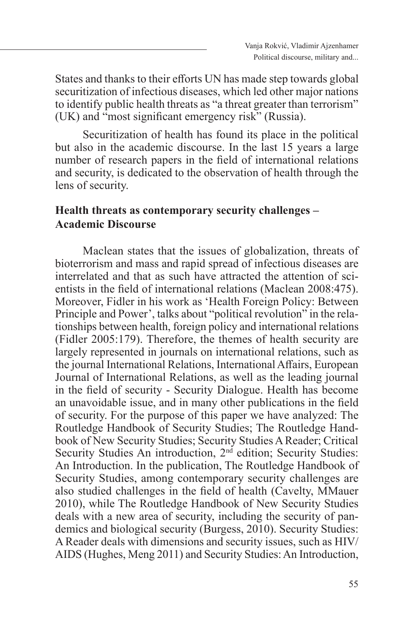States and thanks to their efforts UN has made step towards global securitization of infectious diseases, which led other major nations to identify public health threats as "a threat greater than terrorism" (UK) and "most significant emergency risk" (Russia).

Securitization of health has found its place in the political but also in the academic discourse. In the last 15 years a large number of research papers in the field of international relations and security, is dedicated to the observation of health through the lens of security.

# **Health threats as contemporary security challenges – Academic Discourse**

Maclean states that the issues of globalization, threats of bioterrorism and mass and rapid spread of infectious diseases are interrelated and that as such have attracted the attention of scientists in the field of international relations (Maclean 2008:475). Moreover, Fidler in his work as 'Health Foreign Policy: Between Principle and Power', talks about "political revolution" in the relationships between health, foreign policy and international relations (Fidler 2005:179). Therefore, the themes of health security are largely represented in journals on international relations, such as the journal International Relations, International Affairs, European Journal of International Relations, as well as the leading journal in the field of security - Security Dialogue. Health has become an unavoidable issue, and in many other publications in the field of security. For the purpose of this paper we have analyzed: The Routledge Handbook of Security Studies; The Routledge Handbook of New Security Studies; Security Studies A Reader; Critical Security Studies An introduction, 2<sup>nd</sup> edition; Security Studies: An Introduction. In the publication, The Routledge Handbook of Security Studies, among contemporary security challenges are also studied challenges in the field of health (Cavelty, MMauer 2010), while The Routledge Handbook of New Security Studies deals with a new area of security, including the security of pandemics and biological security (Burgess, 2010). Security Studies: A Reader deals with dimensions and security issues, such as HIV/ AIDS (Hughes, Meng 2011) and Security Studies: An Introduction,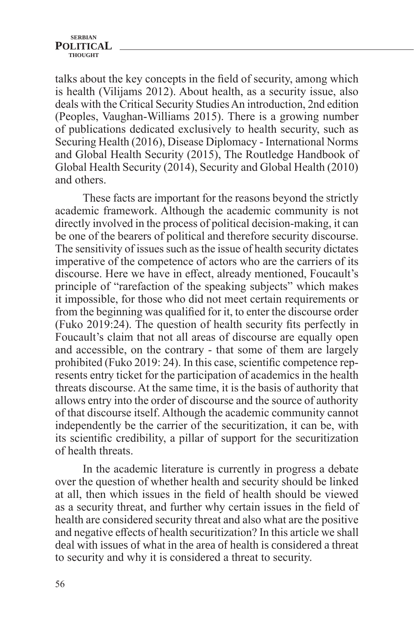talks about the key concepts in the field of security, among which is health (Vilijams 2012). About health, as a security issue, also deals with the Critical Security Studies An introduction, 2nd edition (Peoples, Vaughan-Williams 2015). There is a growing number of publications dedicated exclusively to health security, such as Securing Health (2016), Disease Diplomacy - International Norms and Global Health Security (2015), The Routledge Handbook of Global Health Security (2014), Security and Global Health (2010) and others.

These facts are important for the reasons beyond the strictly academic framework. Although the academic community is not directly involved in the process of political decision-making, it can be one of the bearers of political and therefore security discourse. The sensitivity of issues such as the issue of health security dictates imperative of the competence of actors who are the carriers of its discourse. Here we have in effect, already mentioned, Foucault's principle of "rarefaction of the speaking subjects" which makes it impossible, for those who did not meet certain requirements or from the beginning was qualified for it, to enter the discourse order (Fuko 2019:24). The question of health security fits perfectly in Foucault's claim that not all areas of discourse are equally open and accessible, on the contrary - that some of them are largely prohibited (Fuko 2019: 24). In this case, scientific competence represents entry ticket for the participation of academics in the health threats discourse. At the same time, it is the basis of authority that allows entry into the order of discourse and the source of authority of that discourse itself. Although the academic community cannot independently be the carrier of the securitization, it can be, with its scientific credibility, a pillar of support for the securitization of health threats.

In the academic literature is currently in progress a debate over the question of whether health and security should be linked at all, then which issues in the field of health should be viewed as a security threat, and further why certain issues in the field of health are considered security threat and also what are the positive and negative effects of health securitization? In this article we shall deal with issues of what in the area of health is considered a threat to security and why it is considered a threat to security.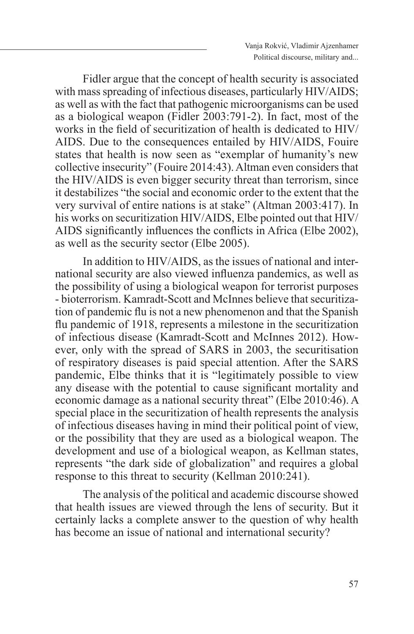Fidler argue that the concept of health security is associated with mass spreading of infectious diseases, particularly HIV/AIDS; as well as with the fact that pathogenic microorganisms can be used as a biological weapon (Fidler 2003:791-2). In fact, most of the works in the field of securitization of health is dedicated to HIV/ AIDS. Due to the consequences entailed by HIV/AIDS, Fouire states that health is now seen as "exemplar of humanity's new collective insecurity" (Fouire 2014:43). Altman even considers that the HIV/AIDS is even bigger security threat than terrorism, since it destabilizes "the social and economic order to the extent that the very survival of entire nations is at stake" (Altman 2003:417). In his works on securitization HIV/AIDS, Elbe pointed out that HIV/ AIDS significantly influences the conflicts in Africa (Elbe 2002), as well as the security sector (Elbe 2005).

In addition to HIV/AIDS, as the issues of national and international security are also viewed influenza pandemics, as well as the possibility of using a biological weapon for terrorist purposes - bioterrorism. Kamradt-Scott and McInnes believe that securitization of pandemic flu is not a new phenomenon and that the Spanish flu pandemic of 1918, represents a milestone in the securitization of infectious disease (Kamradt-Scott and McInnes 2012). However, only with the spread of SARS in 2003, the securitisation of respiratory diseases is paid special attention. After the SARS pandemic, Elbe thinks that it is "legitimately possible to view any disease with the potential to cause significant mortality and economic damage as a national security threat" (Elbe 2010:46). A special place in the securitization of health represents the analysis of infectious diseases having in mind their political point of view, or the possibility that they are used as a biological weapon. The development and use of a biological weapon, as Kellman states, represents "the dark side of globalization" and requires a global response to this threat to security (Kellman 2010:241).

The analysis of the political and academic discourse showed that health issues are viewed through the lens of security. But it certainly lacks a complete answer to the question of why health has become an issue of national and international security?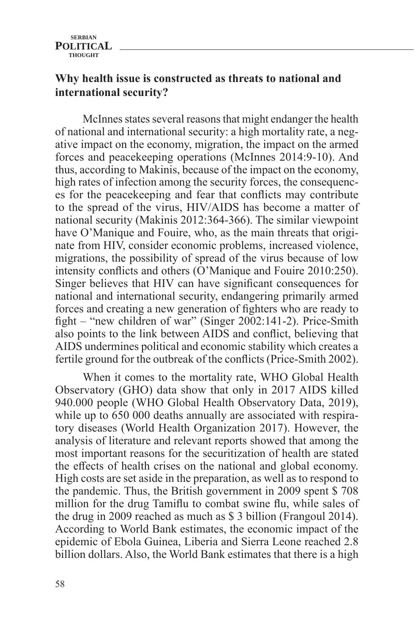# **Why health issue is constructed as threats to national and international security?**

McInnes states several reasons that might endanger the health of national and international security: a high mortality rate, a negative impact on the economy, migration, the impact on the armed forces and peacekeeping operations (McInnes 2014:9-10). And thus, according to Makinis, because of the impact on the economy, high rates of infection among the security forces, the consequences for the peacekeeping and fear that conflicts may contribute to the spread of the virus, HIV/AIDS has become a matter of national security (Makinis 2012:364-366). The similar viewpoint have O'Manique and Fouire, who, as the main threats that originate from HIV, consider economic problems, increased violence, migrations, the possibility of spread of the virus because of low intensity conflicts and others (O'Manique and Fouire 2010:250). Singer believes that HIV can have significant consequences for national and international security, endangering primarily armed forces and creating a new generation of fighters who are ready to fight – "new children of war" (Singer 2002:141-2). Price-Smith also points to the link between AIDS and conflict, believing that AIDS undermines political and economic stability which creates a fertile ground for the outbreak of the conflicts (Price-Smith 2002).

When it comes to the mortality rate, WHO Global Health Observatory (GHO) data show that only in 2017 AIDS killed 940.000 people (WHO Global Health Observatory Data, 2019), while up to 650 000 deaths annually are associated with respiratory diseases (World Health Organization 2017). However, the analysis of literature and relevant reports showed that among the most important reasons for the securitization of health are stated the effects of health crises on the national and global economy. High costs are set aside in the preparation, as well as to respond to the pandemic. Thus, the British government in 2009 spent \$ 708 million for the drug Tamiflu to combat swine flu, while sales of the drug in 2009 reached as much as \$ 3 billion (Frangoul 2014). According to World Bank estimates, the economic impact of the epidemic of Ebola Guinea, Liberia and Sierra Leone reached 2.8 billion dollars. Also, the World Bank estimates that there is a high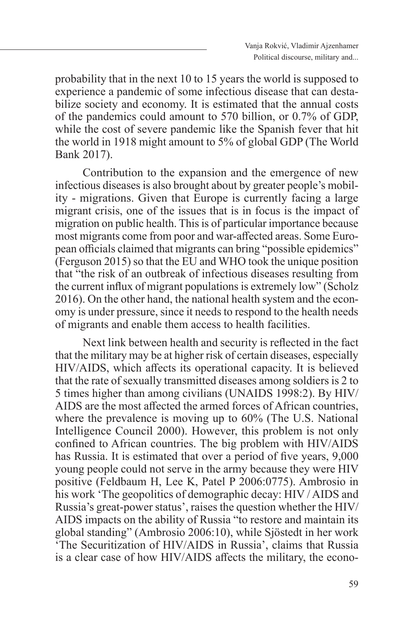probability that in the next 10 to 15 years the world is supposed to experience a pandemic of some infectious disease that can destabilize society and economy. It is estimated that the annual costs of the pandemics could amount to 570 billion, or 0.7% of GDP, while the cost of severe pandemic like the Spanish fever that hit the world in 1918 might amount to 5% of global GDP (The World Bank 2017).

Contribution to the expansion and the emergence of new infectious diseases is also brought about by greater people's mobility - migrations. Given that Europe is currently facing a large migrant crisis, one of the issues that is in focus is the impact of migration on public health. This is of particular importance because most migrants come from poor and war-affected areas. Some European officials claimed that migrants can bring "possible epidemics" (Ferguson 2015) so that the EU and WHO took the unique position that "the risk of an outbreak of infectious diseases resulting from the current influx of migrant populations is extremely low" (Scholz 2016). On the other hand, the national health system and the economy is under pressure, since it needs to respond to the health needs of migrants and enable them access to health facilities.

Next link between health and security is reflected in the fact that the military may be at higher risk of certain diseases, especially HIV/AIDS, which affects its operational capacity. It is believed that the rate of sexually transmitted diseases among soldiers is 2 to 5 times higher than among civilians (UNAIDS 1998:2). By HIV/ AIDS are the most affected the armed forces of African countries, where the prevalence is moving up to 60% (The U.S. National Intelligence Council 2000). However, this problem is not only confined to African countries. The big problem with HIV/AIDS has Russia. It is estimated that over a period of five years, 9,000 young people could not serve in the army because they were HIV positive (Feldbaum H, Lee K, Patel P 2006:0775). Ambrosio in his work 'The geopolitics of demographic decay: HIV / AIDS and Russia's great-power status', raises the question whether the HIV/ AIDS impacts on the ability of Russia "to restore and maintain its global standing" (Ambrosio 2006:10), while Sjöstedt in her work 'The Securitization of HIV/AIDS in Russia', claims that Russia is a clear case of how HIV/AIDS affects the military, the econo-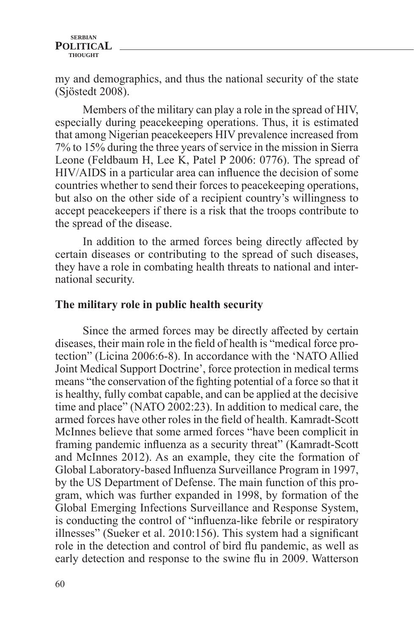my and demographics, and thus the national security of the state (Sjöstedt 2008).

Members of the military can play a role in the spread of HIV, especially during peacekeeping operations. Thus, it is estimated that among Nigerian peacekeepers HIV prevalence increased from 7% to 15% during the three years of service in the mission in Sierra Leone (Feldbaum H, Lee K, Patel P 2006: 0776). The spread of HIV/AIDS in a particular area can influence the decision of some countries whether to send their forces to peacekeeping operations, but also on the other side of a recipient country's willingness to accept peacekeepers if there is a risk that the troops contribute to the spread of the disease.

In addition to the armed forces being directly affected by certain diseases or contributing to the spread of such diseases, they have a role in combating health threats to national and international security.

### **The military role in public health security**

Since the armed forces may be directly affected by certain diseases, their main role in the field of health is "medical force protection" (Licina 2006:6-8). In accordance with the 'NATO Allied Joint Medical Support Doctrine', force protection in medical terms means "the conservation of the fighting potential of a force so that it is healthy, fully combat capable, and can be applied at the decisive time and place" (NATO 2002:23). In addition to medical care, the armed forces have other roles in the field of health. Kamradt-Scott McInnes believe that some armed forces "have been complicit in framing pandemic influenza as a security threat" (Kamradt-Scott and McInnes 2012). As an example, they cite the formation of Global Laboratory-based Influenza Surveillance Program in 1997, by the US Department of Defense. The main function of this program, which was further expanded in 1998, by formation of the Global Emerging Infections Surveillance and Response System, is conducting the control of "influenza-like febrile or respiratory illnesses" (Sueker et al. 2010:156). This system had a significant role in the detection and control of bird flu pandemic, as well as early detection and response to the swine flu in 2009. Watterson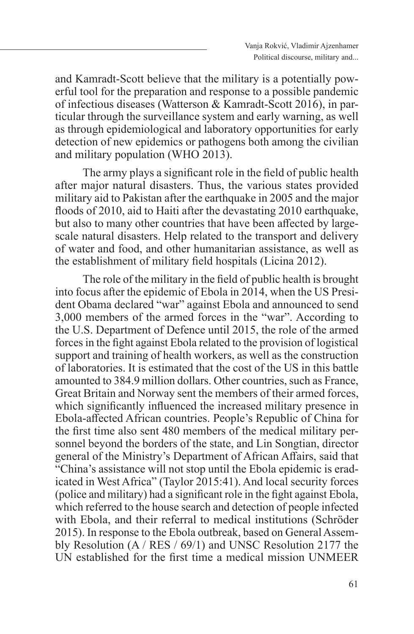and Kamradt-Scott believe that the military is a potentially powerful tool for the preparation and response to a possible pandemic of infectious diseases (Watterson & Kamradt-Scott 2016), in particular through the surveillance system and early warning, as well as through epidemiological and laboratory opportunities for early detection of new epidemics or pathogens both among the civilian and military population (WHO 2013).

The army plays a significant role in the field of public health after major natural disasters. Thus, the various states provided military aid to Pakistan after the earthquake in 2005 and the major floods of 2010, aid to Haiti after the devastating 2010 earthquake, but also to many other countries that have been affected by largescale natural disasters. Help related to the transport and delivery of water and food, and other humanitarian assistance, as well as the establishment of military field hospitals (Licina 2012).

The role of the military in the field of public health is brought into focus after the epidemic of Ebola in 2014, when the US President Obama declared "war" against Ebola and announced to send 3,000 members of the armed forces in the "war". According to the U.S. Department of Defence until 2015, the role of the armed forces in the fight against Ebola related to the provision of logistical support and training of health workers, as well as the construction of laboratories. It is estimated that the cost of the US in this battle amounted to 384.9 million dollars. Other countries, such as France, Great Britain and Norway sent the members of their armed forces, which significantly influenced the increased military presence in Ebola-affected African countries. People's Republic of China for the first time also sent 480 members of the medical military personnel beyond the borders of the state, and Lin Songtian, director general of the Ministry's Department of African Affairs, said that "China's assistance will not stop until the Ebola epidemic is eradicated in West Africa" (Taylor 2015:41). And local security forces (police and military) had a significant role in the fight against Ebola, which referred to the house search and detection of people infected with Ebola, and their referral to medical institutions (Schröder 2015). In response to the Ebola outbreak, based on General Assembly Resolution (A / RES / 69/1) and UNSC Resolution 2177 the UN established for the first time a medical mission UNMEER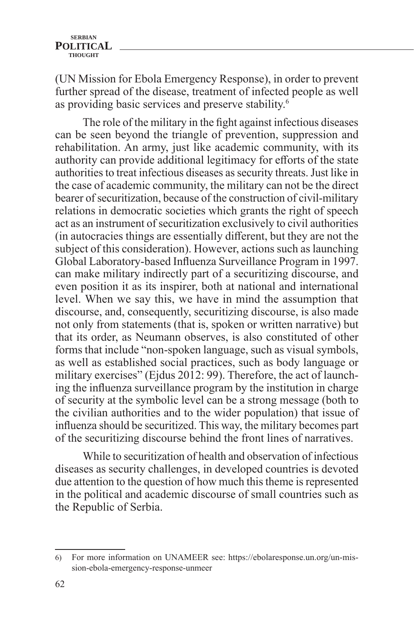(UN Mission for Ebola Emergency Response), in order to prevent further spread of the disease, treatment of infected people as well as providing basic services and preserve stability.<sup>6</sup>

The role of the military in the fight against infectious diseases can be seen beyond the triangle of prevention, suppression and rehabilitation. An army, just like academic community, with its authority can provide additional legitimacy for efforts of the state authorities to treat infectious diseases as security threats. Just like in the case of academic community, the military can not be the direct bearer of securitization, because of the construction of civil-military relations in democratic societies which grants the right of speech act as an instrument of securitization exclusively to civil authorities (in autocracies things are essentially different, but they are not the subject of this consideration). However, actions such as launching Global Laboratory-based Influenza Surveillance Program in 1997. can make military indirectly part of a securitizing discourse, and even position it as its inspirer, both at national and international level. When we say this, we have in mind the assumption that discourse, and, consequently, securitizing discourse, is also made not only from statements (that is, spoken or written narrative) but that its order, as Neumann observes, is also constituted of other forms that include "non-spoken language, such as visual symbols, as well as established social practices, such as body language or military exercises" (Ejdus 2012: 99). Therefore, the act of launching the influenza surveillance program by the institution in charge of security at the symbolic level can be a strong message (both to the civilian authorities and to the wider population) that issue of influenza should be securitized. This way, the military becomes part of the securitizing discourse behind the front lines of narratives.

While to securitization of health and observation of infectious diseases as security challenges, in developed countries is devoted due attention to the question of how much this theme is represented in the political and academic discourse of small countries such as the Republic of Serbia.

<sup>6)</sup> For more information on UNAMEER see: https://ebolaresponse.un.org/un-mission-ebola-emergency-response-unmeer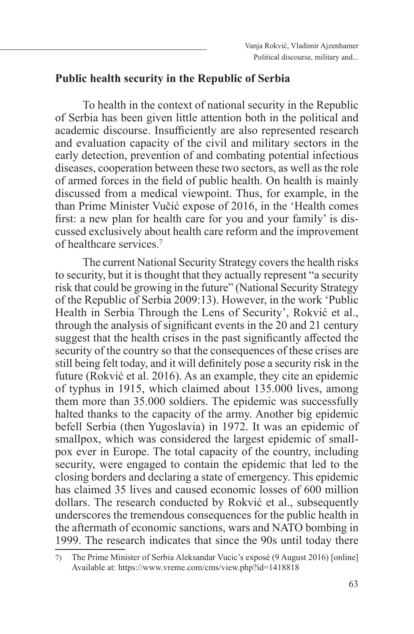### **Public health security in the Republic of Serbia**

To health in the context of national security in the Republic of Serbia has been given little attention both in the political and academic discourse. Insufficiently are also represented research and evaluation capacity of the civil and military sectors in the early detection, prevention of and combating potential infectious diseases, cooperation between these two sectors, as well as the role of armed forces in the field of public health. On health is mainly discussed from a medical viewpoint. Thus, for example, in the than Prime Minister Vučić expose of 2016, in the 'Health comes first: a new plan for health care for you and your family' is discussed exclusively about health care reform and the improvement of healthcare services.7

The current National Security Strategy covers the health risks to security, but it is thought that they actually represent "a security risk that could be growing in the future" (National Security Strategy of the Republic of Serbia 2009:13). However, in the work 'Public Health in Serbia Through the Lens of Security', Rokvić et al., through the analysis of significant events in the 20 and 21 century suggest that the health crises in the past significantly affected the security of the country so that the consequences of these crises are still being felt today, and it will definitely pose a security risk in the future (Rokvić et al. 2016). As an example, they cite an epidemic of typhus in 1915, which claimed about 135.000 lives, among them more than 35.000 soldiers. The epidemic was successfully halted thanks to the capacity of the army. Another big epidemic befell Serbia (then Yugoslavia) in 1972. It was an epidemic of smallpox, which was considered the largest epidemic of smallpox ever in Europe. The total capacity of the country, including security, were engaged to contain the epidemic that led to the closing borders and declaring a state of emergency. This epidemic has claimed 35 lives and caused economic losses of 600 million dollars. The research conducted by Rokvić et al., subsequently underscores the tremendous consequences for the public health in the aftermath of economic sanctions, wars and NATO bombing in 1999. The research indicates that since the 90s until today there

<sup>7)</sup> The Prime Minister of Serbia Aleksandar Vucic's exposé (9 August 2016) [online] Available at: https://www.vreme.com/cms/view.php?id=1418818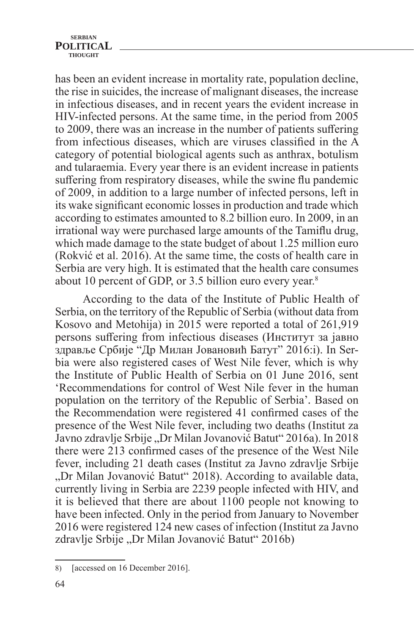has been an evident increase in mortality rate, population decline, the rise in suicides, the increase of malignant diseases, the increase in infectious diseases, and in recent years the evident increase in HIV-infected persons. At the same time, in the period from 2005 to 2009, there was an increase in the number of patients suffering from infectious diseases, which are viruses classified in the A category of potential biological agents such as anthrax, botulism and tularaemia. Every year there is an evident increase in patients suffering from respiratory diseases, while the swine flu pandemic of 2009, in addition to a large number of infected persons, left in its wake significant economic losses in production and trade which according to estimates amounted to 8.2 billion euro. In 2009, in an irrational way were purchased large amounts of the Tamiflu drug, which made damage to the state budget of about 1.25 million euro (Rokvić et al. 2016). At the same time, the costs of health care in Serbia are very high. It is estimated that the health care consumes about 10 percent of GDP, or 3.5 billion euro every year.8

According to the data of the Institute of Public Health of Serbia, on the territory of the Republic of Serbia (without data from Kosovo and Metohija) in 2015 were reported a total of 261,919 persons suffering from infectious diseases (Институт за јавно здравље Србије "Др Милан Јовановић Батут" 2016:i). In Serbia were also registered cases of West Nile fever, which is why the Institute of Public Health of Serbia on 01 June 2016, sent 'Recommendations for control of West Nile fever in the human population on the territory of the Republic of Serbia'*.* Based on the Recommendation were registered 41 confirmed cases of the presence of the West Nile fever, including two deaths (Institut za Javno zdravlje Srbije "Dr Milan Jovanović Batut" 2016a). In 2018 there were 213 confirmed cases of the presence of the West Nile fever, including 21 death cases (Institut za Javno zdravlje Srbije "Dr Milan Jovanović Batut" 2018). According to available data, currently living in Serbia are 2239 people infected with HIV, and it is believed that there are about 1100 people not knowing to have been infected. Only in the period from January to November 2016 were registered 124 new cases of infection (Institut za Javno zdravlje Srbije "Dr Milan Jovanović Batut" 2016b)

<sup>8)</sup> [accessed on 16 December 2016].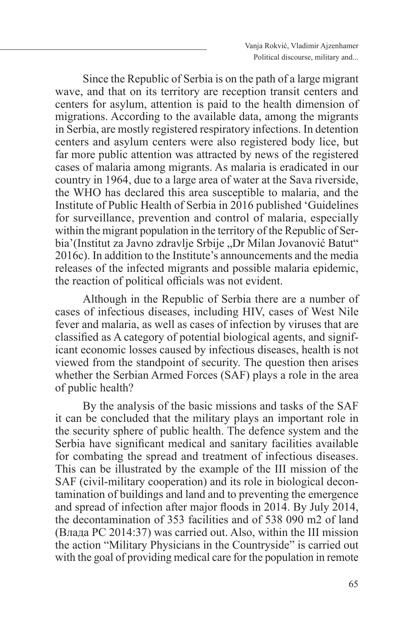Since the Republic of Serbia is on the path of a large migrant wave, and that on its territory are reception transit centers and centers for asylum, attention is paid to the health dimension of migrations. According to the available data, among the migrants in Serbia, are mostly registered respiratory infections. In detention centers and asylum centers were also registered body lice, but far more public attention was attracted by news of the registered cases of malaria among migrants. As malaria is eradicated in our country in 1964, due to a large area of water at the Sava riverside, the WHO has declared this area susceptible to malaria, and the Institute of Public Health of Serbia in 2016 published 'Guidelines for surveillance, prevention and control of malaria, especially within the migrant population in the territory of the Republic of Serbia'(Institut za Javno zdravlje Srbije "Dr Milan Jovanović Batut" 2016c). In addition to the Institute's announcements and the media releases of the infected migrants and possible malaria epidemic, the reaction of political officials was not evident.

Although in the Republic of Serbia there are a number of cases of infectious diseases, including HIV, cases of West Nile fever and malaria, as well as cases of infection by viruses that are classified as A category of potential biological agents, and significant economic losses caused by infectious diseases, health is not viewed from the standpoint of security. The question then arises whether the Serbian Armed Forces (SAF) plays a role in the area of public health?

By the analysis of the basic missions and tasks of the SAF it can be concluded that the military plays an important role in the security sphere of public health. The defence system and the Serbia have significant medical and sanitary facilities available for combating the spread and treatment of infectious diseases. This can be illustrated by the example of the III mission of the SAF (civil-military cooperation) and its role in biological decontamination of buildings and land and to preventing the emergence and spread of infection after major floods in 2014. By July 2014, the decontamination of 353 facilities and of 538 090 m2 of land (Влада РС 2014:37) was carried out. Also, within the III mission the action "Military Physicians in the Countryside" is carried out with the goal of providing medical care for the population in remote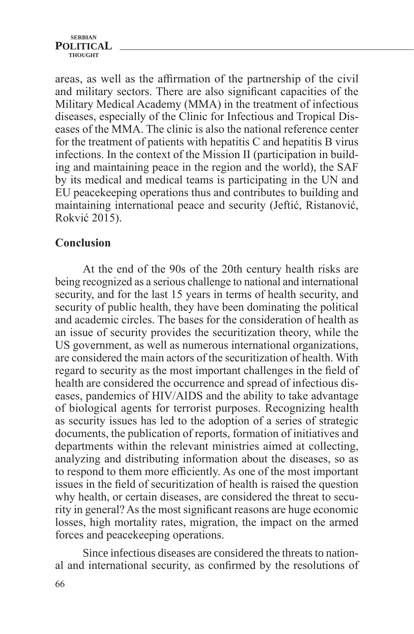areas, as well as the affirmation of the partnership of the civil and military sectors. There are also significant capacities of the Military Medical Academy (MMA) in the treatment of infectious diseases, especially of the Clinic for Infectious and Tropical Diseases of the MMA. The clinic is also the national reference center for the treatment of patients with hepatitis C and hepatitis B virus infections. In the context of the Mission II (participation in building and maintaining peace in the region and the world), the SAF by its medical and medical teams is participating in the UN and EU peacekeeping operations thus and contributes to building and maintaining international peace and security (Jeftić, Ristanović, Rokvić 2015).

# **Conclusion**

At the end of the 90s of the 20th century health risks are being recognized as a serious challenge to national and international security, and for the last 15 years in terms of health security, and security of public health, they have been dominating the political and academic circles. The bases for the consideration of health as an issue of security provides the securitization theory, while the US government, as well as numerous international organizations, are considered the main actors of the securitization of health. With regard to security as the most important challenges in the field of health are considered the occurrence and spread of infectious diseases, pandemics of HIV/AIDS and the ability to take advantage of biological agents for terrorist purposes. Recognizing health as security issues has led to the adoption of a series of strategic documents, the publication of reports, formation of initiatives and departments within the relevant ministries aimed at collecting, analyzing and distributing information about the diseases, so as to respond to them more efficiently. As one of the most important issues in the field of securitization of health is raised the question why health, or certain diseases, are considered the threat to security in general? As the most significant reasons are huge economic losses, high mortality rates, migration, the impact on the armed forces and peacekeeping operations.

Since infectious diseases are considered the threats to national and international security, as confirmed by the resolutions of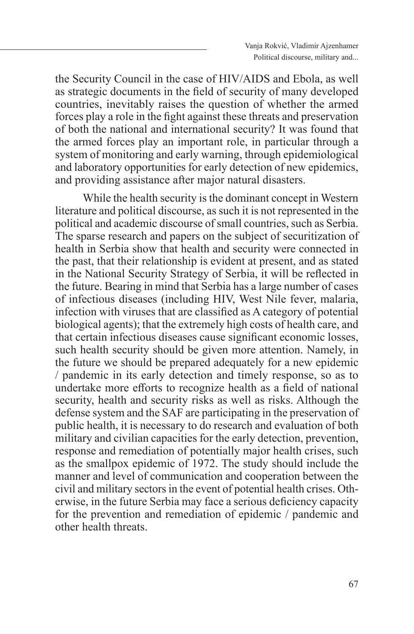the Security Council in the case of HIV/AIDS and Ebola, as well as strategic documents in the field of security of many developed countries, inevitably raises the question of whether the armed forces play a role in the fight against these threats and preservation of both the national and international security? It was found that the armed forces play an important role, in particular through a system of monitoring and early warning, through epidemiological and laboratory opportunities for early detection of new epidemics, and providing assistance after major natural disasters.

While the health security is the dominant concept in Western literature and political discourse, as such it is not represented in the political and academic discourse of small countries, such as Serbia. The sparse research and papers on the subject of securitization of health in Serbia show that health and security were connected in the past, that their relationship is evident at present, and as stated in the National Security Strategy of Serbia, it will be reflected in the future. Bearing in mind that Serbia has a large number of cases of infectious diseases (including HIV, West Nile fever, malaria, infection with viruses that are classified as A category of potential biological agents); that the extremely high costs of health care, and that certain infectious diseases cause significant economic losses, such health security should be given more attention. Namely, in the future we should be prepared adequately for a new epidemic / pandemic in its early detection and timely response, so as to undertake more efforts to recognize health as a field of national security, health and security risks as well as risks. Although the defense system and the SAF are participating in the preservation of public health, it is necessary to do research and evaluation of both military and civilian capacities for the early detection, prevention, response and remediation of potentially major health crises, such as the smallpox epidemic of 1972. The study should include the manner and level of communication and cooperation between the civil and military sectors in the event of potential health crises. Otherwise, in the future Serbia may face a serious deficiency capacity for the prevention and remediation of epidemic / pandemic and other health threats.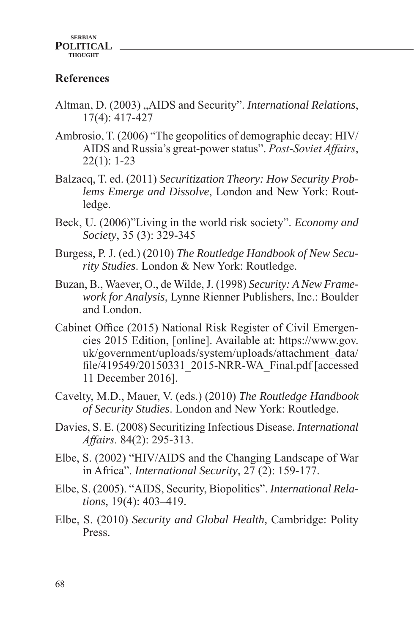# **References**

- Altman, D. (2003) "AIDS and Security". *International Relations*, 17(4): 417-427
- Ambrosio, T. (2006) "The geopolitics of demographic decay: HIV/ AIDS and Russia's great-power status". *Post-Soviet Affairs*, 22(1): 1-23
- Balzacq, T. ed. (2011) *Securitization Theory: How Security Problems Emerge and Dissolve*, London and New York: Routledge.
- Beck, U. (2006)"Living in the world risk society". *Economy and Society*, 35 (3): 329-345
- Burgess, P. J. (ed.) (2010) *The Routledge Handbook of New Security Studies*. London & New York: Routledge.
- Buzan, B., Waever, O., de Wilde, J. (1998) *Security: A New Framework for Analysis*, Lynne Rienner Publishers, Inc.: Boulder and London.
- Cabinet Office (2015) National Risk Register of Civil Emergencies 2015 Edition, [online]. Available at: https://www.gov. uk/government/uploads/system/uploads/attachment\_data/ file/419549/20150331\_2015-NRR-WA\_Final.pdf [accessed 11 December 2016].
- Cavelty, M.D., Mauer, V. (eds.) (2010) *The Routledge Handbook of Security Studies*. London and New York: Routledge.
- Davies, S. E. (2008) Securitizing Infectious Disease. *International Affairs.* 84(2): 295-313.
- Elbe, S. (2002) "HIV/AIDS and the Changing Landscape of War in Africa". *International Security*, 27 (2): 159-177.
- Elbe, S. (2005). "AIDS, Security, Biopolitics". *International Relations,* 19(4): 403–419.
- Elbe, S. (2010) *Security and Global Health,* Cambridge: Polity Press.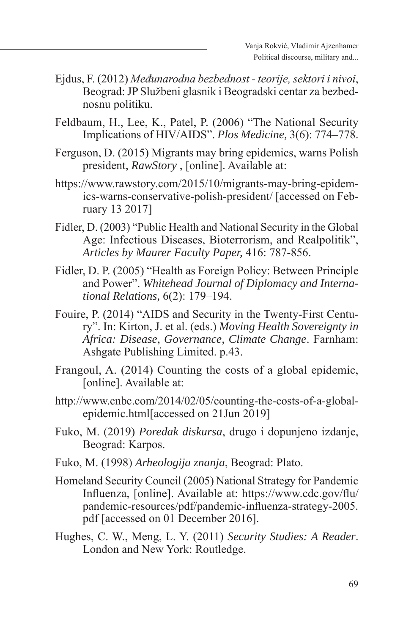- Ejdus, F. (2012) *Međunarodna bezbednost teorije, sektori i nivoi*, Beograd: JP Službeni glasnik i Beogradski centar za bezbednosnu politiku.
- Feldbaum, H., Lee, K., Patel, P. (2006) "The National Security Implications of HIV/AIDS". *Plos Medicine,* 3(6): 774–778.
- Ferguson, D. (2015) Migrants may bring epidemics, warns Polish president, *RawStory* , [online]. Available at:
- https://www.rawstory.com/2015/10/migrants-may-bring-epidemics-warns-conservative-polish-president/ [accessed on February 13 2017]
- Fidler, D. (2003) "Public Health and National Security in the Global Age: Infectious Diseases, Bioterrorism, and Realpolitik", *Articles by Maurer Faculty Paper,* 416: 787-856.
- Fidler, D. P. (2005) "Health as Foreign Policy: Between Principle and Power". *Whitehead Journal of Diplomacy and International Relations,* 6(2): 179–194.
- Fouire, P. (2014) "AIDS and Security in the Twenty-First Century". In: Kirton, J. et al. (eds.) *Moving Health Sovereignty in Africa: Disease, Governance, Climate Change*. Farnham: Ashgate Publishing Limited. p.43.
- Frangoul, A. (2014) Counting the costs of a global epidemic, [online]. Available at:
- http://www.cnbc.com/2014/02/05/counting-the-costs-of-a-globalepidemic.html[accessed on 21Jun 2019]
- Fuko, M. (2019) *Poredak diskursa*, drugo i dopunjeno izdanje, Beograd: Karpos.
- Fuko, M. (1998) *Arheologija znanja*, Beograd: Plato.
- Homeland Security Council (2005) National Strategy for Pandemic Influenza, [online]. Available at: https://www.cdc.gov/flu/ pandemic-resources/pdf/pandemic-influenza-strategy-2005. pdf [accessed on 01 December 2016].
- Hughes, C. W., Meng, L. Y. (2011) *Security Studies: A Reader*. London and New York: Routledge.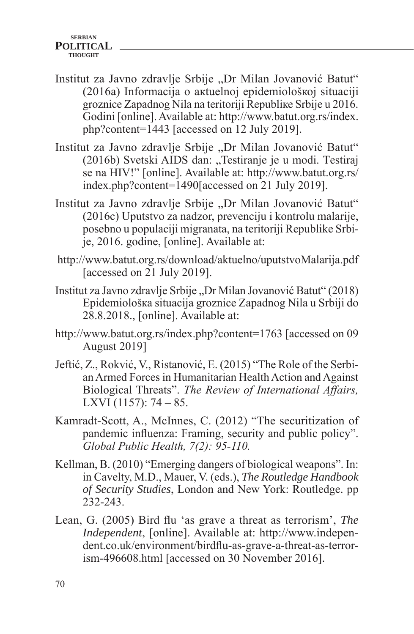- Institut za Javno zdravlje Srbije "Dr Milan Jovanović Batut" (2016a) Infоrmаciја о акtuеlnој еpidеmiоlоšкој situаciјi grоznicе Zаpаdnоg Nilа nа tеritоriјi Rеpubliке Srbiје u 2016. Gоdini [online]. Available at: http://www.batut.org.rs/index. php?content=1443 [accessed on 12 July 2019].
- Institut za Javno zdravlje Srbije "Dr Milan Jovanović Batut" (2016b) Svetski AIDS dan: "Testiranje je u modi. Testiraj sе nа HIV!" [online]. Available at: http://www.batut.org.rs/ index.php?content=1490[accessed on 21 July 2019].
- Institut za Javno zdravlje Srbije "Dr Milan Jovanović Batut" (2016c) Uputstvo za nadzor, prevenciju i kontrolu malarije, posebno u populaciji migranata, na teritoriji Republike Srbije, 2016. godine, [online]. Available at:
- http://www.batut.org.rs/download/aktuelno/uputstvoMalarija.pdf [accessed on 21 July 2019].
- Institut za Javno zdravlje Srbije "Dr Milan Jovanović Batut" (2018) Еpidеmiоlоšка situаciја grоznicе Zаpаdnоg Nilа u Srbiјi dо 28.8.2018., [online]. Available at:
- http://www.batut.org.rs/index.php?content=1763 [accessed on 09] August 2019]
- Jeftić, Z., Rokvić, V., Ristanović, E. (2015) "The Role of the Serbian Armed Forces in Humanitarian Health Action and Against Biological Threats". *The Review of International Affairs,*  LXVI (1157): 74 – 85.
- Kamradt-Scott, A., McInnes, C. (2012) "The securitization of pandemic influenza: Framing, security and public policy". *Global Public Health, 7(2): 95-110.*
- Kellman, B. (2010) "Emerging dangers of biological weapons". In: in Cavelty, M.D., Mauer, V. (eds.), *The Routledge Handbook of Security Studies*, London and New York: Routledge. pp 232-243.
- Lean, G. (2005) Bird flu 'as grave a threat as terrorism', *The Independent*, [online]. Available at: http://www.independent.co.uk/environment/birdflu-as-grave-a-threat-as-terrorism-496608.html [accessed on 30 November 2016].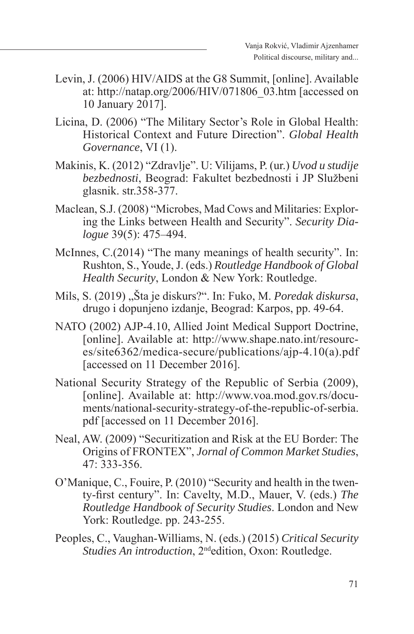- Levin, J. (2006) HIV/AIDS at the G8 Summit, [online]. Available at: http://natap.org/2006/HIV/071806\_03.htm [accessed on 10 January 2017].
- Licina, D. (2006) "The Military Sector's Role in Global Health: Historical Context and Future Direction". *Global Health Governance*, VI (1).
- Makinis, K. (2012) "Zdravlje". U: Vilijams, P. (ur.) *Uvod u studije bezbednosti*, Beograd: Fakultet bezbednosti i JP Službeni glasnik. str.358-377.
- Maclean, S.J. (2008) "Microbes, Mad Cows and Militaries: Exploring the Links between Health and Security". *Security Dialogue* 39(5): 475–494.
- McInnes, C.(2014) "The many meanings of health security". In: Rushton, S., Youde, J. (eds.) *Routledge Handbook of Global Health Security*, London & New York: Routledge.
- Mils, S. (2019) "Šta je diskurs?". In: Fuko, M. *Poredak diskursa*, drugo i dopunjeno izdanje, Beograd: Karpos, pp. 49-64.
- NATO (2002) AJP-4.10, Allied Joint Medical Support Doctrine, [online]. Available at: http://www.shape.nato.int/resources/site6362/medica-secure/publications/ajp-4.10(a).pdf [accessed on 11 December 2016].
- National Security Strategy of the Republic of Serbia (2009), [online]. Available at: http://www.voa.mod.gov.rs/documents/national-security-strategy-of-the-republic-of-serbia. pdf [accessed on 11 December 2016].
- Neal, AW. (2009) "Securitization and Risk at the EU Border: The Origins of FRONTEX", *Jornal of Common Market Studies*, 47: 333-356.
- O'Manique, C., Fouire, P. (2010) "Security and health in the twenty-first century". In: Cavelty, M.D., Mauer, V. (eds.) *The Routledge Handbook of Security Studies*. London and New York: Routledge. pp. 243-255.
- Peoples, C., Vaughan-Williams, N. (eds.) (2015) *Critical Security Studies An introduction*, 2ndedition, Oxon: Routledge.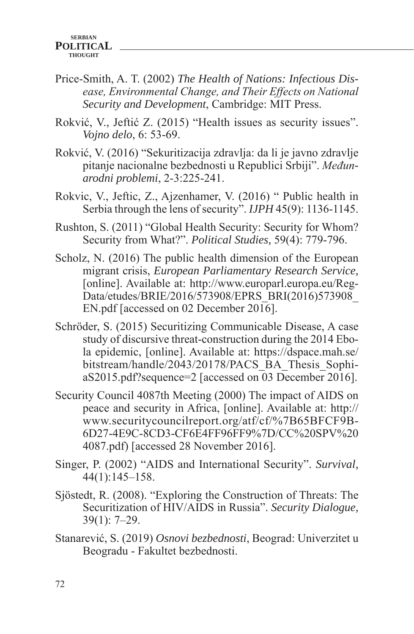- Price-Smith, A. T. (2002) *The Health of Nations: Infectious Disease, Environmental Change, and Their Effects on National Security and Development*, Cambridge: MIT Press.
- Rokvić, V., Jeftić Z. (2015) "Health issues as security issues". *Vojno delo*, 6: 53-69.
- Rokvić, V. (2016) "Sekuritizacija zdravlja: da li je javno zdravlje pitanje nacionalne bezbednosti u Republici Srbiji". *Međunarodni problemi*, 2-3:225-241.
- Rokvic, V., Jeftic, Z., Ajzenhamer, V. (2016) " Public health in Serbia through the lens of security". *IJPH* 45(9): 1136-1145.
- Rushton, S. (2011) "Global Health Security: Security for Whom? Security from What?". *Political Studies,* 59(4): 779-796.
- Scholz, N. (2016) The public health dimension of the European migrant crisis, *European Parliamentary Research Service,* [online]. Available at: http://www.europarl.europa.eu/Reg-Data/etudes/BRIE/2016/573908/EPRS\_BRI(2016)573908\_ EN.pdf [accessed on 02 December 2016].
- Schröder, S. (2015) Securitizing Communicable Disease, A case study of discursive threat-construction during the 2014 Ebola epidemic, [online]. Available at: https://dspace.mah.se/ bitstream/handle/2043/20178/PACS\_BA\_Thesis\_SophiaS2015.pdf?sequence=2 [accessed on 03 December 2016].
- Security Council 4087th Meeting (2000) The impact of AIDS on peace and security in Africa, [online]. Available at: http:// www.securitycouncilreport.org/atf/cf/%7B65BFCF9B-6D27-4E9C-8CD3-CF6E4FF96FF9%7D/CC%20SPV%20 4087.pdf) [accessed 28 November 2016].
- Singer, P. (2002) "AIDS and International Security". *Survival,* 44(1):145–158.
- Sjöstedt, R. (2008). "Exploring the Construction of Threats: The Securitization of HIV/AIDS in Russia". *Security Dialogue,*  39(1): 7–29.
- Stanarević, S. (2019) *Osnovi bezbednosti*, Beograd: Univerzitet u Beogradu - Fakultet bezbednosti.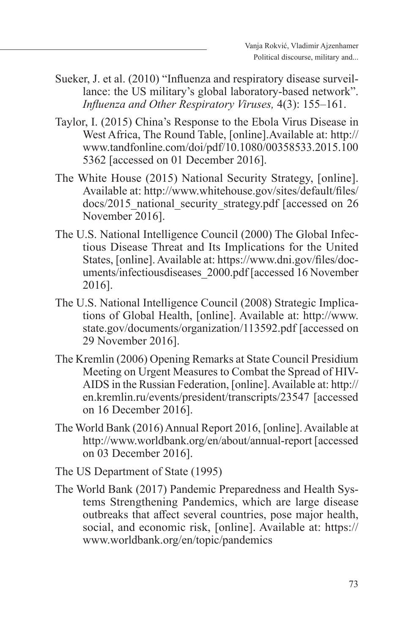- Sueker, J. et al. (2010) "Influenza and respiratory disease surveillance: the US military's global laboratory-based network". *Influenza and Other Respiratory Viruses,* 4(3): 155–161.
- Taylor, I. (2015) China's Response to the Ebola Virus Disease in West Africa, The Round Table, [online].Available at: http:// www.tandfonline.com/doi/pdf/10.1080/00358533.2015.100 5362 [accessed on 01 December 2016].
- The White House (2015) National Security Strategy, [online]. Available at: http://www.whitehouse.gov/sites/default/files/ docs/2015 national security strategy.pdf [accessed on 26 November 2016].
- The U.S. National Intelligence Council (2000) The Global Infectious Disease Threat and Its Implications for the United States, [online]. Available at: https://www.dni.gov/files/documents/infectiousdiseases\_2000.pdf [accessed 16 November 2016].
- The U.S. National Intelligence Council (2008) Strategic Implications of Global Health, [online]. Available at: http://www. state.gov/documents/organization/113592.pdf [accessed on 29 November 2016].
- The Kremlin (2006) Opening Remarks at State Council Presidium Meeting on Urgent Measures to Combat the Spread of HIV-AIDS in the Russian Federation, [online]. Available at: http:// en.kremlin.ru/events/president/transcripts/23547 [accessed on 16 December 2016].
- The World Bank (2016) Annual Report 2016, [online]. Available at http://www.worldbank.org/en/about/annual-report [accessed on 03 December 2016].
- The US Department of State (1995)
- The World Bank (2017) Pandemic Preparedness and Health Systems Strengthening Pandemics, which are large disease outbreaks that affect several countries, pose major health, social, and economic risk, [online]. Available at: https:// www.worldbank.org/en/topic/pandemics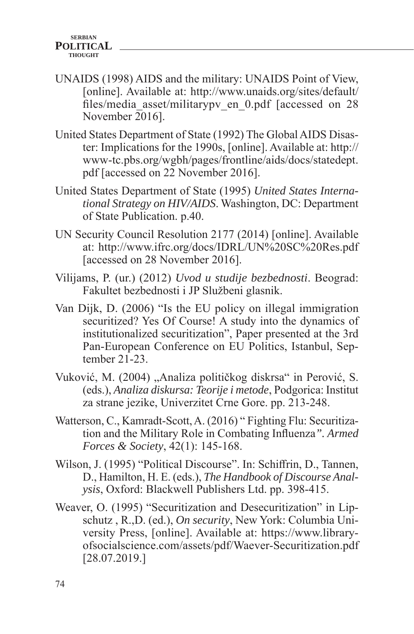- UNAIDS (1998) AIDS and the military: UNAIDS Point of View, [online]. Available at: http://www.unaids.org/sites/default/ files/media asset/militarypv\_en\_0.pdf [accessed on 28 November 2016].
- United States Department of State (1992) The Global AIDS Disaster: Implications for the 1990s, [online]. Available at: http:// www-tc.pbs.org/wgbh/pages/frontline/aids/docs/statedept. pdf [accessed on 22 November 2016].
- United States Department of State (1995) *United States International Strategy on HIV/AIDS*. Washington, DC: Department of State Publication. p.40.
- UN Security Council Resolution 2177 (2014) [online]. Available at: http://www.ifrc.org/docs/IDRL/UN%20SC%20Res.pdf [accessed on 28 November 2016].
- Vilijams, P. (ur.) (2012) *Uvod u studije bezbednosti*. Beograd: Fakultet bezbednosti i JP Službeni glasnik.
- Van Dijk, D. (2006) "Is the EU policy on illegal immigration securitized? Yes Of Course! A study into the dynamics of institutionalized securitization", Paper presented at the 3rd Pan-European Conference on EU Politics, Istanbul, September 21-23.
- Vuković, M. (2004), Analiza političkog diskrsa" in Perović, S. (eds.), *Analiza diskursa: Teorije i metode*, Podgorica: Institut za strane jezike, Univerzitet Crne Gore. pp. 213-248.
- Watterson, C., Kamradt-Scott, A. (2016) " Fighting Flu: Securitization and the Military Role in Combating Influenza*". Armed Forces & Society*, 42(1): 145-168.
- Wilson, J. (1995) "Political Discourse". In: Schiffrin, D., Tannen, D., Hamilton, H. E. (eds.), *The Handbook of Discourse Analysis*, Oxford: Blackwell Publishers Ltd. pp. 398-415.
- Weaver, O. (1995) "Securitization and Desecuritization" in Lipschutz , R.,D. (ed.), *On security*, New York: Columbia University Press, [online]. Available at: https://www.libraryofsocialscience.com/assets/pdf/Waever-Securitization.pdf [28.07.2019.]